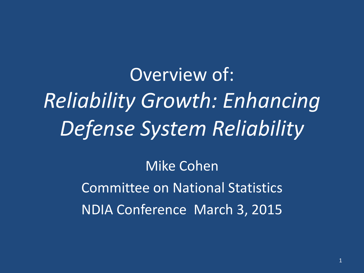Overview of: *Reliability Growth: Enhancing Defense System Reliability*

> Mike Cohen Committee on National Statistics NDIA Conference March 3, 2015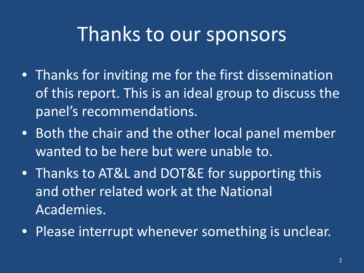#### Thanks to our sponsors

- Thanks for inviting me for the first dissemination of this report. This is an ideal group to discuss the panel's recommendations.
- Both the chair and the other local panel member wanted to be here but were unable to.
- Thanks to AT&L and DOT&E for supporting this and other related work at the National Academies.
- Please interrupt whenever something is unclear.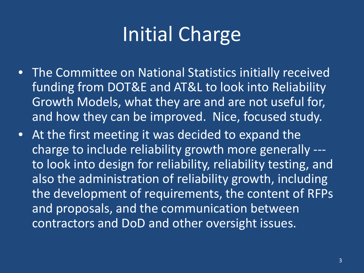# Initial Charge

- The Committee on National Statistics initially received funding from DOT&E and AT&L to look into Reliability Growth Models, what they are and are not useful for, and how they can be improved. Nice, focused study.
- At the first meeting it was decided to expand the charge to include reliability growth more generally -- to look into design for reliability, reliability testing, and also the administration of reliability growth, including the development of requirements, the content of RFPs and proposals, and the communication between contractors and DoD and other oversight issues.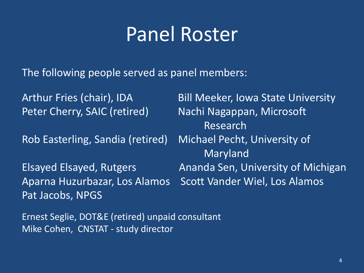#### Panel Roster

The following people served as panel members:

Arthur Fries (chair), IDA Bill Meeker, Iowa State University Peter Cherry, SAIC (retired) Nachi Nagappan, Microsoft Research Rob Easterling, Sandia (retired) Michael Pecht, University of Maryland Elsayed Elsayed, Rutgers **Ananda Sen, University of Michigan** Aparna Huzurbazar, Los Alamos Scott Vander Wiel, Los Alamos Pat Jacobs, NPGS

Ernest Seglie, DOT&E (retired) unpaid consultant Mike Cohen, CNSTAT - study director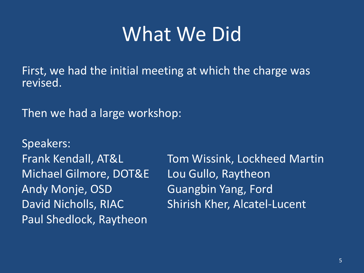#### What We Did

First, we had the initial meeting at which the charge was revised.

Then we had a large workshop:

Speakers: Michael Gilmore, DOT&E Lou Gullo, Raytheon Andy Monje, OSD Guangbin Yang, Ford Paul Shedlock, Raytheon

Frank Kendall, AT&L Tom Wissink, Lockheed Martin David Nicholls, RIAC Shirish Kher, Alcatel-Lucent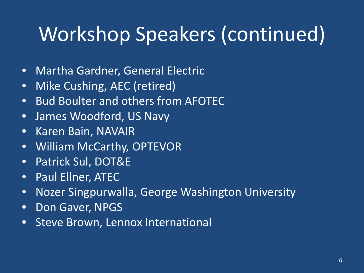# Workshop Speakers (continued)

- Martha Gardner, General Electric
- Mike Cushing, AEC (retired)
- Bud Boulter and others from AFOTEC
- James Woodford, US Navy
- Karen Bain, NAVAIR
- William McCarthy, OPTEVOR
- Patrick Sul, DOT&E
- Paul Ellner, ATEC
- Nozer Singpurwalla, George Washington University
- Don Gaver, NPGS
- Steve Brown, Lennox International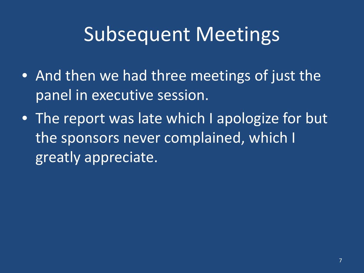### Subsequent Meetings

- And then we had three meetings of just the panel in executive session.
- The report was late which I apologize for but the sponsors never complained, which I greatly appreciate.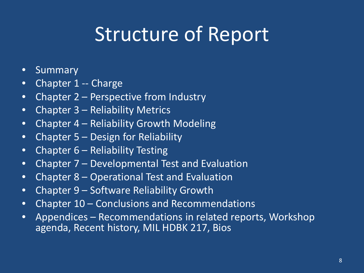### Structure of Report

- Summary
- Chapter 1 -- Charge
- Chapter 2 Perspective from Industry
- Chapter 3 Reliability Metrics
- Chapter 4 Reliability Growth Modeling
- Chapter 5 Design for Reliability
- Chapter 6 Reliability Testing
- Chapter 7 Developmental Test and Evaluation
- Chapter 8 Operational Test and Evaluation
- Chapter 9 Software Reliability Growth
- Chapter 10 Conclusions and Recommendations
- Appendices Recommendations in related reports, Workshop agenda, Recent history, MIL HDBK 217, Bios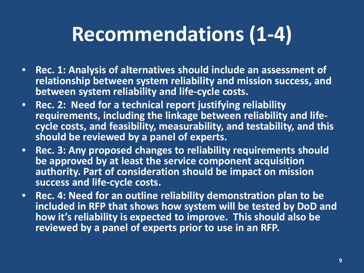# **Recommendations (1-4)**

- **Rec. 1: Analysis of alternatives should include an assessment of relationship between system reliability and mission success, and between system reliability and life-cycle costs.**
- **Rec. 2: Need for a technical report justifying reliability cycle costs, and feasibility, measurability, and testability, and this should be reviewed by a panel of experts.**
- **Rec. 3: Any proposed changes to reliability requirements should be approved by at least the service component acquisition authority. Part of consideration should be impact on mission success and life-cycle costs.**
- **Rec. 4: Need for an outline reliability demonstration plan to be included in RFP that shows how system will be tested by DoD and how it's reliability is expected to improve. This should also be reviewed by a panel of experts prior to use in an RFP.**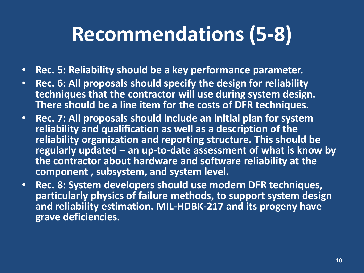## **Recommendations (5-8)**

- **Rec. 5: Reliability should be a key performance parameter.**
- **Rec. 6: All proposals should specify the design for reliability techniques that the contractor will use during system design. There should be a line item for the costs of DFR techniques.**
- **Rec. 7: All proposals should include an initial plan for system reliability and qualification as well as a description of the reliability organization and reporting structure. This should be regularly updated – an up-to-date assessment of what is know by the contractor about hardware and software reliability at the component , subsystem, and system level.**
- **Rec. 8: System developers should use modern DFR techniques, particularly physics of failure methods, to support system design and reliability estimation. MIL-HDBK-217 and its progeny have grave deficiencies.**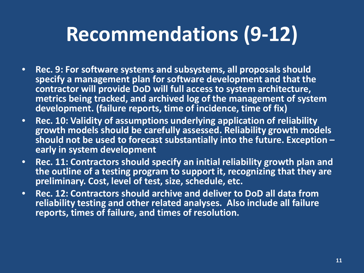## **Recommendations (9-12)**

- **Rec. 9: For software systems and subsystems, all proposals should specify a management plan for software development and that the contractor will provide DoD will full access to system architecture, metrics being tracked, and archived log of the management of system development. (failure reports, time of incidence, time of fix)**
- **Rec. 10: Validity of assumptions underlying application of reliability growth models should be carefully assessed. Reliability growth models should not be used to forecast substantially into the future. Exception – early in system development**
- **Rec. 11: Contractors should specify an initial reliability growth plan and the outline of a testing program to support it, recognizing that they are preliminary. Cost, level of test, size, schedule, etc.**
- **Rec. 12: Contractors should archive and deliver to DoD all data from reliability testing and other related analyses. Also include all failure reports, times of failure, and times of resolution.**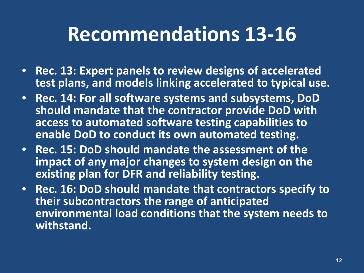#### **Recommendations 13-16**

- **Rec. 13: Expert panels to review designs of accelerated test plans, and models linking accelerated to typical use.**
- **Rec. 14: For all software systems and subsystems, DoD should mandate that the contractor provide DoD with access to automated software testing capabilities to enable DoD to conduct its own automated testing.**
- **Rec. 15: DoD should mandate the assessment of the impact of any major changes to system design on the existing plan for DFR and reliability testing.**
- **Rec. 16: DoD should mandate that contractors specify to their subcontractors the range of anticipated environmental load conditions that the system needs to withstand.**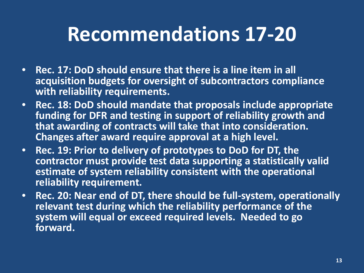### **Recommendations 17-20**

- **Rec. 17: DoD should ensure that there is a line item in all acquisition budgets for oversight of subcontractors compliance with reliability requirements.**
- **Rec. 18: DoD should mandate that proposals include appropriate funding for DFR and testing in support of reliability growth and that awarding of contracts will take that into consideration. Changes after award require approval at a high level.**
- **Rec. 19: Prior to delivery of prototypes to DoD for DT, the contractor must provide test data supporting a statistically valid estimate of system reliability consistent with the operational reliability requirement.**
- **Rec. 20: Near end of DT, there should be full-system, operationally relevant test during which the reliability performance of the system will equal or exceed required levels. Needed to go forward.**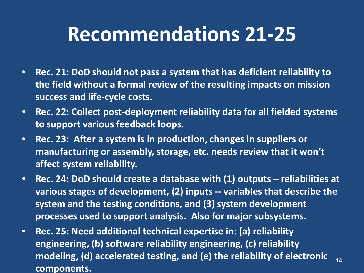#### **Recommendations 21-25**

- **Rec. 21: DoD should not pass a system that has deficient reliability to the field without a formal review of the resulting impacts on mission success and life-cycle costs.**
- **Rec. 22: Collect post-deployment reliability data for all fielded systems to support various feedback loops.**
- **Rec. 23: After a system is in production, changes in suppliers or manufacturing or assembly, storage, etc. needs review that it won't affect system reliability.**
- **Rec. 24: DoD should create a database with (1) outputs – reliabilities at various stages of development, (2) inputs -- variables that describe the system and the testing conditions, and (3) system development processes used to support analysis. Also for major subsystems.**
- **Rec. 25: Need additional technical expertise in: (a) reliability engineering, (b) software reliability engineering, (c) reliability modeling, (d) accelerated testing, and (e) the reliability of electronic components. 14**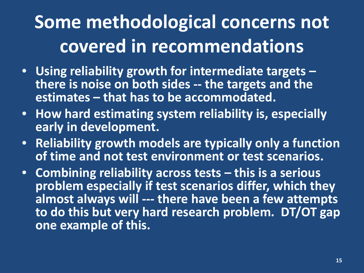### **Some methodological concerns not covered in recommendations**

- **Using reliability growth for intermediate targets – there is noise on both sides -- the targets and the estimates – that has to be accommodated.**
- **How hard estimating system reliability is, especially early in development.**
- **Reliability growth models are typically only a function of time and not test environment or test scenarios.**
- **Combining reliability across tests – this is a serious problem especially if test scenarios differ, which they almost always will --- there have been a few attempts to do this but very hard research problem. DT/OT gap one example of this.**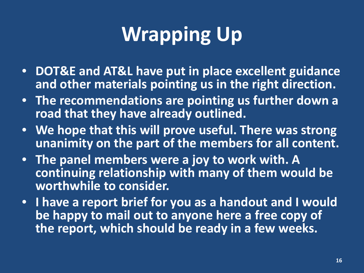# **Wrapping Up**

- **DOT&E and AT&L have put in place excellent guidance and other materials pointing us in the right direction.**
- **The recommendations are pointing us further down a road that they have already outlined.**
- **We hope that this will prove useful. There was strong unanimity on the part of the members for all content.**
- **The panel members were a joy to work with. A continuing relationship with many of them would be worthwhile to consider.**
- **I have a report brief for you as a handout and I would be happy to mail out to anyone here a free copy of the report, which should be ready in a few weeks.**